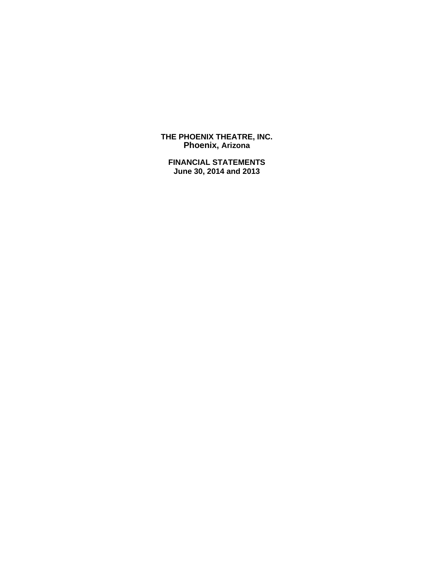**THE PHOENIX THEATRE, INC. Phoenix, Arizona** 

**FINANCIAL STATEMENTS June 30, 2014 and 2013**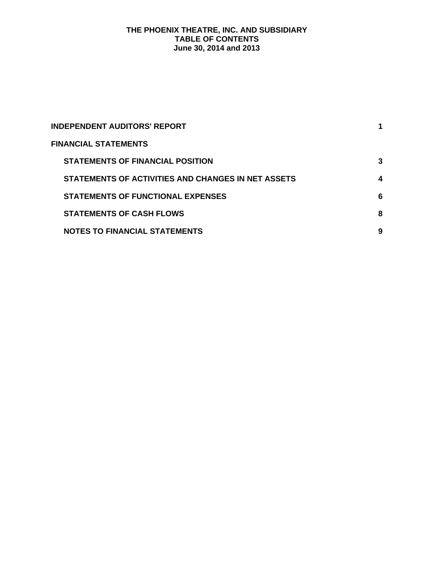# **THE PHOENIX THEATRE, INC. AND SUBSIDIARY TABLE OF CONTENTS June 30, 2014 and 2013**

| INDEPENDENT AUDITORS' REPORT                       |   |
|----------------------------------------------------|---|
| <b>FINANCIAL STATEMENTS</b>                        |   |
| STATEMENTS OF FINANCIAL POSITION                   | 3 |
| STATEMENTS OF ACTIVITIES AND CHANGES IN NET ASSETS | 4 |
| <b>STATEMENTS OF FUNCTIONAL EXPENSES</b>           | 6 |
| <b>STATEMENTS OF CASH FLOWS</b>                    | 8 |
| <b>NOTES TO FINANCIAL STATEMENTS</b>               | 9 |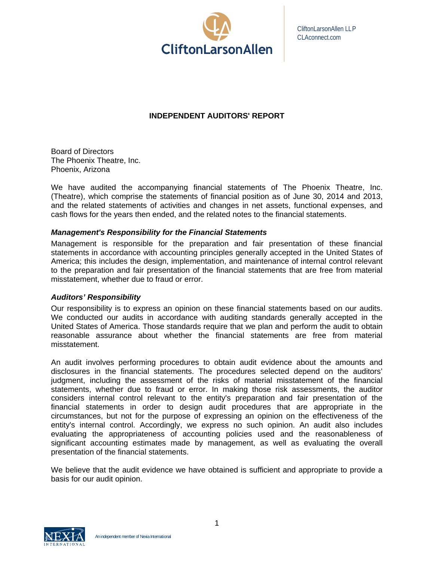

# **INDEPENDENT AUDITORS' REPORT**

Board of Directors The Phoenix Theatre, Inc. Phoenix, Arizona

We have audited the accompanying financial statements of The Phoenix Theatre, Inc. (Theatre), which comprise the statements of financial position as of June 30, 2014 and 2013, and the related statements of activities and changes in net assets, functional expenses, and cash flows for the years then ended, and the related notes to the financial statements.

# *Management's Responsibility for the Financial Statements*

Management is responsible for the preparation and fair presentation of these financial statements in accordance with accounting principles generally accepted in the United States of America; this includes the design, implementation, and maintenance of internal control relevant to the preparation and fair presentation of the financial statements that are free from material misstatement, whether due to fraud or error.

#### *Auditors' Responsibility*

Our responsibility is to express an opinion on these financial statements based on our audits. We conducted our audits in accordance with auditing standards generally accepted in the United States of America. Those standards require that we plan and perform the audit to obtain reasonable assurance about whether the financial statements are free from material misstatement.

An audit involves performing procedures to obtain audit evidence about the amounts and disclosures in the financial statements. The procedures selected depend on the auditors' judgment, including the assessment of the risks of material misstatement of the financial statements, whether due to fraud or error. In making those risk assessments, the auditor considers internal control relevant to the entity's preparation and fair presentation of the financial statements in order to design audit procedures that are appropriate in the circumstances, but not for the purpose of expressing an opinion on the effectiveness of the entity's internal control. Accordingly, we express no such opinion. An audit also includes evaluating the appropriateness of accounting policies used and the reasonableness of significant accounting estimates made by management, as well as evaluating the overall presentation of the financial statements.

We believe that the audit evidence we have obtained is sufficient and appropriate to provide a basis for our audit opinion.

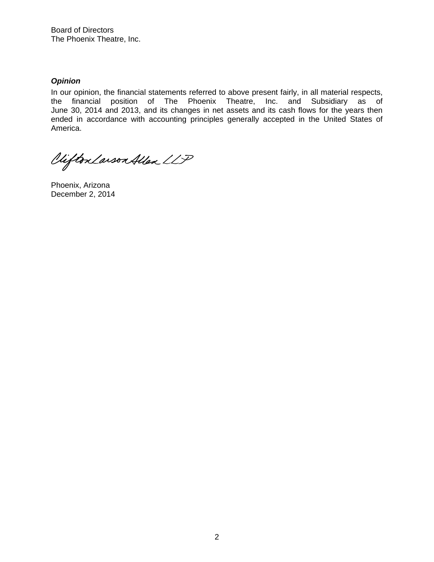Board of Directors The Phoenix Theatre, Inc.

### *Opinion*

In our opinion, the financial statements referred to above present fairly, in all material respects, the financial position of The Phoenix Theatre, Inc. and Subsidiary as of June 30, 2014 and 2013, and its changes in net assets and its cash flows for the years then ended in accordance with accounting principles generally accepted in the United States of America.

Vifton Larson Allen LLP

Phoenix, Arizona December 2, 2014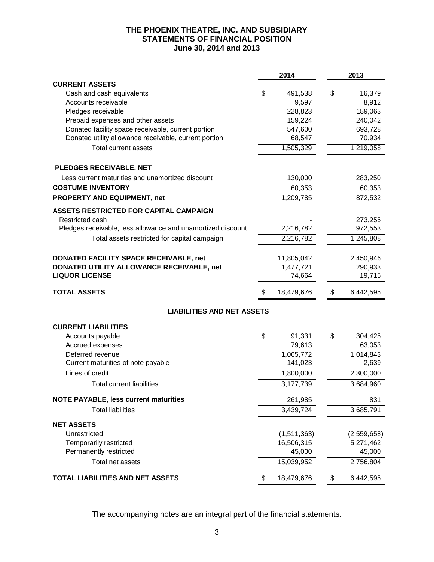# **THE PHOENIX THEATRE, INC. AND SUBSIDIARY STATEMENTS OF FINANCIAL POSITION June 30, 2014 and 2013**

|                                                             | 2014             | 2013            |
|-------------------------------------------------------------|------------------|-----------------|
| <b>CURRENT ASSETS</b>                                       |                  |                 |
| Cash and cash equivalents                                   | \$<br>491,538    | \$<br>16,379    |
| Accounts receivable                                         | 9,597            | 8,912           |
| Pledges receivable                                          | 228,823          | 189,063         |
| Prepaid expenses and other assets                           | 159,224          | 240,042         |
| Donated facility space receivable, current portion          | 547,600          | 693,728         |
| Donated utility allowance receivable, current portion       | 68,547           | 70,934          |
| Total current assets                                        | 1,505,329        | 1,219,058       |
| PLEDGES RECEIVABLE, NET                                     |                  |                 |
| Less current maturities and unamortized discount            | 130,000          | 283,250         |
| <b>COSTUME INVENTORY</b>                                    | 60,353           | 60,353          |
| PROPERTY AND EQUIPMENT, net                                 | 1,209,785        | 872,532         |
| <b>ASSETS RESTRICTED FOR CAPITAL CAMPAIGN</b>               |                  |                 |
| Restricted cash                                             |                  | 273,255         |
| Pledges receivable, less allowance and unamortized discount | 2,216,782        | 972,553         |
| Total assets restricted for capital campaign                | 2,216,782        | 1,245,808       |
| <b>DONATED FACILITY SPACE RECEIVABLE, net</b>               | 11,805,042       | 2,450,946       |
| DONATED UTILITY ALLOWANCE RECEIVABLE, net                   | 1,477,721        | 290,933         |
| <b>LIQUOR LICENSE</b>                                       | 74,664           | 19,715          |
| <b>TOTAL ASSETS</b>                                         | \$<br>18,479,676 | \$<br>6,442,595 |
| <b>LIABILITIES AND NET ASSETS</b>                           |                  |                 |
| <b>CURRENT LIABILITIES</b>                                  |                  |                 |
| Accounts payable                                            | \$<br>91,331     | \$<br>304,425   |
| Accrued expenses                                            | 79,613           | 63,053          |
| Deferred revenue                                            | 1,065,772        | 1,014,843       |
| Current maturities of note payable                          | 141,023          | 2,639           |
| Lines of credit                                             | 1,800,000        | 2,300,000       |
| Total current liabilities                                   | 3,177,739        | 3,684,960       |
| <b>NOTE PAYABLE, less current maturities</b>                | 261,985          | 831             |
| <b>Total liabilities</b>                                    | 3,439,724        | 3,685,791       |
| <b>NET ASSETS</b>                                           |                  |                 |
| Unrestricted                                                | (1,511,363)      | (2,559,658)     |
| Temporarily restricted                                      | 16,506,315       | 5,271,462       |
| Permanently restricted                                      | 45,000           | 45,000          |
| Total net assets                                            | 15,039,952       | 2,756,804       |
| TOTAL LIABILITIES AND NET ASSETS                            | \$<br>18,479,676 | \$<br>6,442,595 |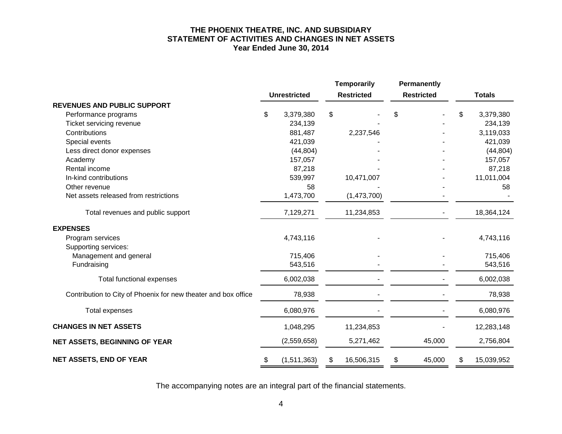### **THE PHOENIX THEATRE, INC. AND SUBSIDIARY STATEMENT OF ACTIVITIES AND CHANGES IN NET ASSETS Year Ended June 30, 2014**

|                                                                |                     |             |                   | <b>Temporarily</b> |                   | <b>Permanently</b> |                  |  |
|----------------------------------------------------------------|---------------------|-------------|-------------------|--------------------|-------------------|--------------------|------------------|--|
|                                                                | <b>Unrestricted</b> |             | <b>Restricted</b> |                    | <b>Restricted</b> |                    | <b>Totals</b>    |  |
| <b>REVENUES AND PUBLIC SUPPORT</b>                             |                     |             |                   |                    |                   |                    |                  |  |
| Performance programs                                           | \$                  | 3,379,380   | \$                |                    | \$                |                    | \$<br>3,379,380  |  |
| Ticket servicing revenue                                       |                     | 234,139     |                   |                    |                   |                    | 234,139          |  |
| Contributions                                                  |                     | 881,487     |                   | 2,237,546          |                   |                    | 3,119,033        |  |
| Special events                                                 |                     | 421,039     |                   |                    |                   |                    | 421,039          |  |
| Less direct donor expenses                                     |                     | (44, 804)   |                   |                    |                   |                    | (44, 804)        |  |
| Academy                                                        |                     | 157,057     |                   |                    |                   |                    | 157,057          |  |
| Rental income                                                  |                     | 87,218      |                   |                    |                   |                    | 87,218           |  |
| In-kind contributions                                          |                     | 539,997     |                   | 10,471,007         |                   |                    | 11,011,004       |  |
| Other revenue                                                  |                     | 58          |                   |                    |                   |                    | 58               |  |
| Net assets released from restrictions                          |                     | 1,473,700   |                   | (1,473,700)        |                   |                    |                  |  |
| Total revenues and public support                              |                     | 7,129,271   |                   | 11,234,853         |                   |                    | 18,364,124       |  |
| <b>EXPENSES</b>                                                |                     |             |                   |                    |                   |                    |                  |  |
| Program services                                               |                     | 4,743,116   |                   |                    |                   |                    | 4,743,116        |  |
| Supporting services:                                           |                     |             |                   |                    |                   |                    |                  |  |
| Management and general                                         |                     | 715,406     |                   |                    |                   |                    | 715,406          |  |
| Fundraising                                                    |                     | 543,516     |                   |                    |                   |                    | 543,516          |  |
| Total functional expenses                                      |                     | 6,002,038   |                   |                    |                   |                    | 6,002,038        |  |
| Contribution to City of Phoenix for new theater and box office |                     | 78,938      |                   |                    |                   |                    | 78,938           |  |
| <b>Total expenses</b>                                          |                     | 6,080,976   |                   |                    |                   |                    | 6,080,976        |  |
| <b>CHANGES IN NET ASSETS</b>                                   |                     | 1,048,295   |                   | 11,234,853         |                   |                    | 12,283,148       |  |
| NET ASSETS, BEGINNING OF YEAR                                  |                     | (2,559,658) |                   | 5,271,462          |                   | 45,000             | 2,756,804        |  |
| <b>NET ASSETS, END OF YEAR</b>                                 | \$                  | (1,511,363) | \$                | 16,506,315         | \$                | 45,000             | \$<br>15,039,952 |  |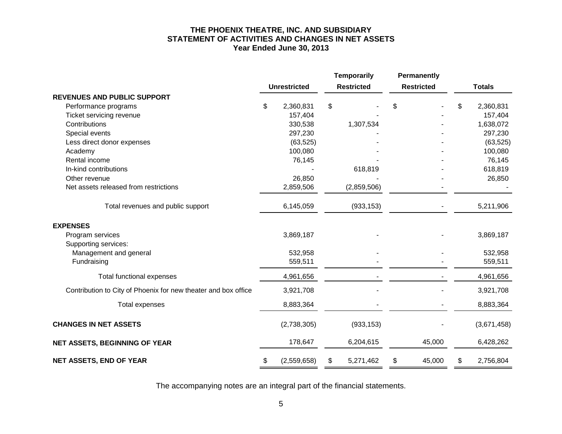# **THE PHOENIX THEATRE, INC. AND SUBSIDIARY STATEMENT OF ACTIVITIES AND CHANGES IN NET ASSETS Year Ended June 30, 2013**

|                                                                |                     |    | <b>Temporarily</b> |                                        | Permanently |    |               |
|----------------------------------------------------------------|---------------------|----|--------------------|----------------------------------------|-------------|----|---------------|
|                                                                | <b>Unrestricted</b> |    |                    | <b>Restricted</b><br><b>Restricted</b> |             |    | <b>Totals</b> |
| <b>REVENUES AND PUBLIC SUPPORT</b>                             |                     |    |                    |                                        |             |    |               |
| Performance programs                                           | \$<br>2,360,831     | \$ |                    | \$                                     |             | \$ | 2,360,831     |
| Ticket servicing revenue                                       | 157,404             |    |                    |                                        |             |    | 157,404       |
| Contributions                                                  | 330,538             |    | 1,307,534          |                                        |             |    | 1,638,072     |
| Special events                                                 | 297,230             |    |                    |                                        |             |    | 297,230       |
| Less direct donor expenses                                     | (63, 525)           |    |                    |                                        |             |    | (63, 525)     |
| Academy                                                        | 100,080             |    |                    |                                        |             |    | 100,080       |
| Rental income                                                  | 76,145              |    |                    |                                        |             |    | 76,145        |
| In-kind contributions                                          |                     |    | 618,819            |                                        |             |    | 618,819       |
| Other revenue                                                  | 26,850              |    |                    |                                        |             |    | 26,850        |
| Net assets released from restrictions                          | 2,859,506           |    | (2,859,506)        |                                        |             |    |               |
| Total revenues and public support                              | 6,145,059           |    | (933, 153)         |                                        |             |    | 5,211,906     |
| <b>EXPENSES</b>                                                |                     |    |                    |                                        |             |    |               |
| Program services                                               | 3,869,187           |    |                    |                                        |             |    | 3,869,187     |
| Supporting services:                                           |                     |    |                    |                                        |             |    |               |
| Management and general                                         | 532,958             |    |                    |                                        |             |    | 532,958       |
| Fundraising                                                    | 559,511             |    |                    |                                        |             |    | 559,511       |
| Total functional expenses                                      | 4,961,656           |    |                    |                                        |             |    | 4,961,656     |
| Contribution to City of Phoenix for new theater and box office | 3,921,708           |    |                    |                                        |             |    | 3,921,708     |
| Total expenses                                                 | 8,883,364           |    |                    |                                        |             |    | 8,883,364     |
| <b>CHANGES IN NET ASSETS</b>                                   | (2,738,305)         |    | (933, 153)         |                                        |             |    | (3,671,458)   |
| NET ASSETS, BEGINNING OF YEAR                                  | 178,647             |    | 6,204,615          |                                        | 45,000      |    | 6,428,262     |
| <b>NET ASSETS, END OF YEAR</b>                                 | \$<br>(2,559,658)   | \$ | 5,271,462          | \$                                     | 45,000      | \$ | 2,756,804     |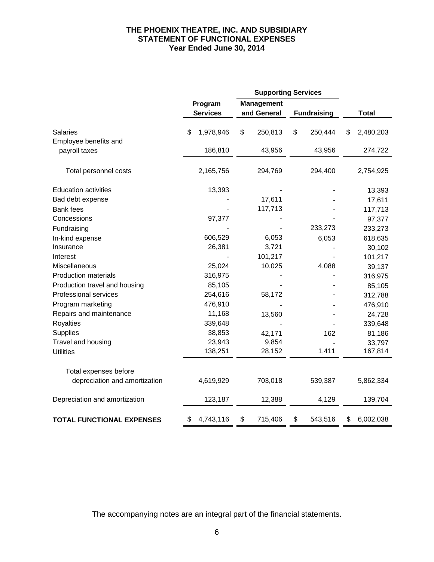### **THE PHOENIX THEATRE, INC. AND SUBSIDIARY STATEMENT OF FUNCTIONAL EXPENSES Year Ended June 30, 2014**

|                                          |                 |                   | <b>Supporting Services</b> |                    |    |              |
|------------------------------------------|-----------------|-------------------|----------------------------|--------------------|----|--------------|
|                                          | Program         | <b>Management</b> |                            |                    |    |              |
|                                          | <b>Services</b> | and General       |                            | <b>Fundraising</b> |    | <b>Total</b> |
| <b>Salaries</b><br>Employee benefits and | \$<br>1,978,946 | \$                | 250,813                    | \$<br>250,444      | S  | 2,480,203    |
| payroll taxes                            | 186,810         |                   | 43,956                     | 43,956             |    | 274,722      |
| Total personnel costs                    | 2,165,756       |                   | 294,769                    | 294,400            |    | 2,754,925    |
| <b>Education activities</b>              | 13,393          |                   |                            |                    |    | 13,393       |
| Bad debt expense                         |                 |                   | 17,611                     |                    |    | 17,611       |
| <b>Bank fees</b>                         |                 |                   | 117,713                    |                    |    | 117,713      |
| Concessions                              | 97,377          |                   |                            |                    |    | 97,377       |
| Fundraising                              |                 |                   |                            | 233,273            |    | 233,273      |
| In-kind expense                          | 606,529         |                   | 6,053                      | 6,053              |    | 618,635      |
| Insurance                                | 26,381          |                   | 3,721                      |                    |    | 30,102       |
| Interest                                 |                 |                   | 101,217                    |                    |    | 101,217      |
| Miscellaneous                            | 25,024          |                   | 10,025                     | 4,088              |    | 39,137       |
| <b>Production materials</b>              | 316,975         |                   |                            |                    |    | 316,975      |
| Production travel and housing            | 85,105          |                   |                            |                    |    | 85,105       |
| Professional services                    | 254,616         |                   | 58,172                     |                    |    | 312,788      |
| Program marketing                        | 476,910         |                   |                            |                    |    | 476,910      |
| Repairs and maintenance                  | 11,168          |                   | 13,560                     |                    |    | 24,728       |
| <b>Royalties</b>                         | 339,648         |                   |                            |                    |    | 339,648      |
| Supplies                                 | 38,853          |                   | 42,171                     | 162                |    | 81,186       |
| Travel and housing                       | 23,943          |                   | 9,854                      |                    |    | 33,797       |
| <b>Utilities</b>                         | 138,251         |                   | 28,152                     | 1,411              |    | 167,814      |
| Total expenses before                    |                 |                   |                            |                    |    |              |
| depreciation and amortization            | 4,619,929       |                   | 703,018                    | 539,387            |    | 5,862,334    |
| Depreciation and amortization            | 123,187         |                   | 12,388                     | 4,129              |    | 139,704      |
| <b>TOTAL FUNCTIONAL EXPENSES</b>         | \$<br>4,743,116 | \$                | 715,406                    | \$<br>543,516      | \$ | 6,002,038    |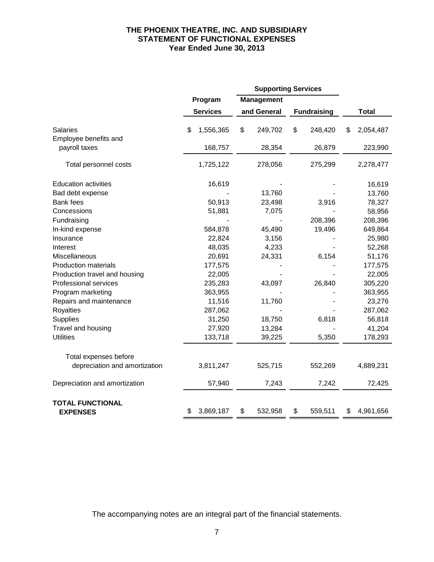### **THE PHOENIX THEATRE, INC. AND SUBSIDIARY STATEMENT OF FUNCTIONAL EXPENSES Year Ended June 30, 2013**

|                               |    | Program         |    | <b>Management</b> |    |         |    |                    |  |              |
|-------------------------------|----|-----------------|----|-------------------|----|---------|----|--------------------|--|--------------|
|                               |    | <b>Services</b> |    | and General       |    |         |    | <b>Fundraising</b> |  | <b>Total</b> |
| <b>Salaries</b>               | S  | 1,556,365       | \$ | 249,702           | \$ | 248,420 | S  | 2,054,487          |  |              |
| Employee benefits and         |    |                 |    |                   |    |         |    |                    |  |              |
| payroll taxes                 |    | 168,757         |    | 28,354            |    | 26,879  |    | 223,990            |  |              |
| Total personnel costs         |    | 1,725,122       |    | 278,056           |    | 275,299 |    | 2,278,477          |  |              |
| <b>Education activities</b>   |    | 16,619          |    |                   |    |         |    | 16,619             |  |              |
| Bad debt expense              |    |                 |    | 13,760            |    |         |    | 13,760             |  |              |
| Bank fees                     |    | 50,913          |    | 23,498            |    | 3,916   |    | 78,327             |  |              |
| Concessions                   |    | 51,881          |    | 7,075             |    |         |    | 58,956             |  |              |
| Fundraising                   |    |                 |    |                   |    | 208,396 |    | 208,396            |  |              |
| In-kind expense               |    | 584,878         |    | 45,490            |    | 19,496  |    | 649,864            |  |              |
| Insurance                     |    | 22,824          |    | 3,156             |    |         |    | 25,980             |  |              |
| Interest                      |    | 48,035          |    | 4,233             |    |         |    | 52,268             |  |              |
| Miscellaneous                 |    | 20,691          |    | 24,331            |    | 6,154   |    | 51,176             |  |              |
| Production materials          |    | 177,575         |    |                   |    |         |    | 177,575            |  |              |
| Production travel and housing |    | 22,005          |    |                   |    |         |    | 22,005             |  |              |
| Professional services         |    | 235,283         |    | 43,097            |    | 26,840  |    | 305,220            |  |              |
| Program marketing             |    | 363,955         |    |                   |    |         |    | 363,955            |  |              |
| Repairs and maintenance       |    | 11,516          |    | 11,760            |    |         |    | 23,276             |  |              |
| <b>Royalties</b>              |    | 287,062         |    |                   |    |         |    | 287,062            |  |              |
| Supplies                      |    | 31,250          |    | 18,750            |    | 6,818   |    | 56,818             |  |              |
| Travel and housing            |    | 27,920          |    | 13,284            |    |         |    | 41,204             |  |              |
| <b>Utilities</b>              |    | 133,718         |    | 39,225            |    | 5,350   |    | 178,293            |  |              |
| Total expenses before         |    |                 |    |                   |    |         |    |                    |  |              |
| depreciation and amortization |    | 3,811,247       |    | 525,715           |    | 552,269 |    | 4,889,231          |  |              |
| Depreciation and amortization |    | 57,940          |    | 7,243             |    | 7,242   |    | 72,425             |  |              |
| <b>TOTAL FUNCTIONAL</b>       |    |                 |    |                   |    |         |    |                    |  |              |
| <b>EXPENSES</b>               | \$ | 3,869,187       | \$ | 532,958           | \$ | 559,511 | \$ | 4,961,656          |  |              |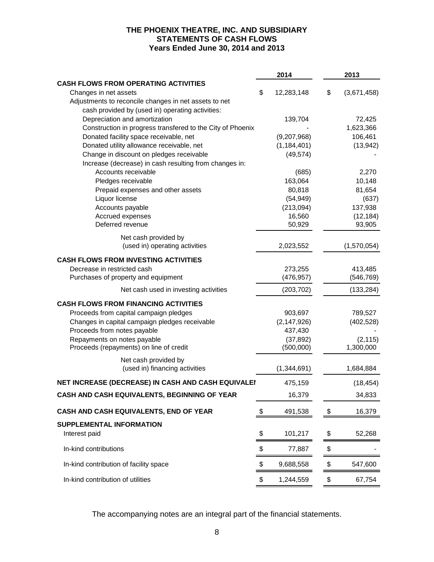# **THE PHOENIX THEATRE, INC. AND SUBSIDIARY STATEMENTS OF CASH FLOWS Years Ended June 30, 2014 and 2013**

|                                                            | 2014             | 2013              |
|------------------------------------------------------------|------------------|-------------------|
| <b>CASH FLOWS FROM OPERATING ACTIVITIES</b>                |                  |                   |
| Changes in net assets                                      | \$<br>12,283,148 | \$<br>(3,671,458) |
| Adjustments to reconcile changes in net assets to net      |                  |                   |
| cash provided by (used in) operating activities:           |                  |                   |
| Depreciation and amortization                              | 139,704          | 72,425            |
| Construction in progress transfered to the City of Phoenix |                  | 1,623,366         |
| Donated facility space receivable, net                     | (9,207,968)      | 106,461           |
| Donated utility allowance receivable, net                  | (1, 184, 401)    | (13, 942)         |
| Change in discount on pledges receivable                   | (49, 574)        |                   |
| Increase (decrease) in cash resulting from changes in:     |                  |                   |
| Accounts receivable                                        | (685)            | 2,270             |
| Pledges receivable                                         | 163,064          | 10,148            |
| Prepaid expenses and other assets                          | 80,818           | 81,654            |
| Liquor license                                             | (54, 949)        | (637)             |
| Accounts payable                                           | (213,094)        | 137,938           |
| Accrued expenses                                           | 16,560           | (12, 184)         |
| Deferred revenue                                           | 50,929           | 93,905            |
| Net cash provided by                                       |                  |                   |
| (used in) operating activities                             | 2,023,552        | (1,570,054)       |
| <b>CASH FLOWS FROM INVESTING ACTIVITIES</b>                |                  |                   |
| Decrease in restricted cash                                | 273,255          | 413,485           |
| Purchases of property and equipment                        | (476, 957)       | (546, 769)        |
| Net cash used in investing activities                      | (203, 702)       | (133, 284)        |
| <b>CASH FLOWS FROM FINANCING ACTIVITIES</b>                |                  |                   |
| Proceeds from capital campaign pledges                     | 903,697          | 789,527           |
| Changes in capital campaign pledges receivable             | (2, 147, 926)    | (402, 528)        |
| Proceeds from notes payable                                | 437,430          |                   |
| Repayments on notes payable                                | (37, 892)        | (2, 115)          |
| Proceeds (repayments) on line of credit                    | (500,000)        | 1,300,000         |
| Net cash provided by                                       |                  |                   |
| (used in) financing activities                             | (1,344,691)      | 1,684,884         |
| NET INCREASE (DECREASE) IN CASH AND CASH EQUIVALEI         | 475,159          | (18, 454)         |
| CASH AND CASH EQUIVALENTS, BEGINNING OF YEAR               | 16,379           | 34,833            |
| CASH AND CASH EQUIVALENTS, END OF YEAR                     | \$<br>491,538    | \$<br>16,379      |
| SUPPLEMENTAL INFORMATION                                   |                  |                   |
| Interest paid                                              | \$<br>101,217    | \$<br>52,268      |
| In-kind contributions                                      | \$<br>77,887     | \$                |
| In-kind contribution of facility space                     | \$<br>9,688,558  | \$<br>547,600     |
|                                                            |                  |                   |
| In-kind contribution of utilities                          | \$<br>1,244,559  | \$<br>67,754      |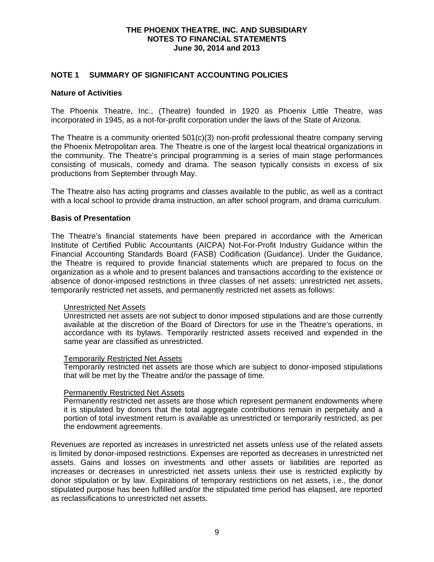### **NOTE 1 SUMMARY OF SIGNIFICANT ACCOUNTING POLICIES**

#### **Nature of Activities**

The Phoenix Theatre, Inc., (Theatre) founded in 1920 as Phoenix Little Theatre, was incorporated in 1945, as a not-for-profit corporation under the laws of the State of Arizona.

The Theatre is a community oriented 501(c)(3) non-profit professional theatre company serving the Phoenix Metropolitan area. The Theatre is one of the largest local theatrical organizations in the community. The Theatre's principal programming is a series of main stage performances consisting of musicals, comedy and drama. The season typically consists in excess of six productions from September through May.

The Theatre also has acting programs and classes available to the public, as well as a contract with a local school to provide drama instruction, an after school program, and drama curriculum.

#### **Basis of Presentation**

The Theatre's financial statements have been prepared in accordance with the American Institute of Certified Public Accountants (AICPA) Not-For-Profit Industry Guidance within the Financial Accounting Standards Board (FASB) Codification (Guidance). Under the Guidance, the Theatre is required to provide financial statements which are prepared to focus on the organization as a whole and to present balances and transactions according to the existence or absence of donor-imposed restrictions in three classes of net assets: unrestricted net assets, temporarily restricted net assets, and permanently restricted net assets as follows:

#### Unrestricted Net Assets

Unrestricted net assets are not subject to donor imposed stipulations and are those currently available at the discretion of the Board of Directors for use in the Theatre's operations, in accordance with its bylaws. Temporarily restricted assets received and expended in the same year are classified as unrestricted.

#### Temporarily Restricted Net Assets

Temporarily restricted net assets are those which are subject to donor-imposed stipulations that will be met by the Theatre and/or the passage of time.

#### Permanently Restricted Net Assets

Permanently restricted net assets are those which represent permanent endowments where it is stipulated by donors that the total aggregate contributions remain in perpetuity and a portion of total investment return is available as unrestricted or temporarily restricted, as per the endowment agreements.

Revenues are reported as increases in unrestricted net assets unless use of the related assets is limited by donor-imposed restrictions. Expenses are reported as decreases in unrestricted net assets. Gains and losses on investments and other assets or liabilities are reported as increases or decreases in unrestricted net assets unless their use is restricted explicitly by donor stipulation or by law. Expirations of temporary restrictions on net assets, i.e., the donor stipulated purpose has been fulfilled and/or the stipulated time period has elapsed, are reported as reclassifications to unrestricted net assets.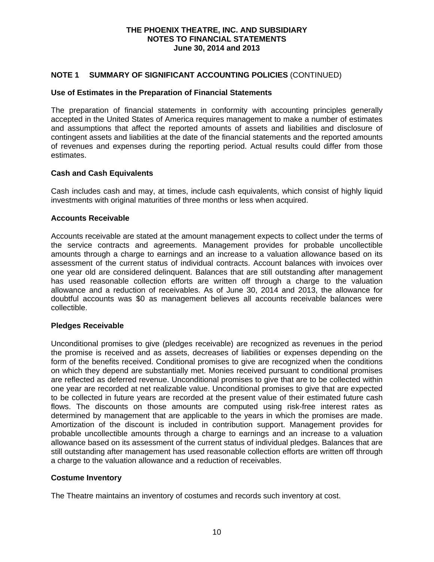### **NOTE 1 SUMMARY OF SIGNIFICANT ACCOUNTING POLICIES** (CONTINUED)

#### **Use of Estimates in the Preparation of Financial Statements**

The preparation of financial statements in conformity with accounting principles generally accepted in the United States of America requires management to make a number of estimates and assumptions that affect the reported amounts of assets and liabilities and disclosure of contingent assets and liabilities at the date of the financial statements and the reported amounts of revenues and expenses during the reporting period. Actual results could differ from those estimates.

#### **Cash and Cash Equivalents**

Cash includes cash and may, at times, include cash equivalents, which consist of highly liquid investments with original maturities of three months or less when acquired.

#### **Accounts Receivable**

Accounts receivable are stated at the amount management expects to collect under the terms of the service contracts and agreements. Management provides for probable uncollectible amounts through a charge to earnings and an increase to a valuation allowance based on its assessment of the current status of individual contracts. Account balances with invoices over one year old are considered delinquent. Balances that are still outstanding after management has used reasonable collection efforts are written off through a charge to the valuation allowance and a reduction of receivables. As of June 30, 2014 and 2013, the allowance for doubtful accounts was \$0 as management believes all accounts receivable balances were collectible.

#### **Pledges Receivable**

Unconditional promises to give (pledges receivable) are recognized as revenues in the period the promise is received and as assets, decreases of liabilities or expenses depending on the form of the benefits received. Conditional promises to give are recognized when the conditions on which they depend are substantially met. Monies received pursuant to conditional promises are reflected as deferred revenue. Unconditional promises to give that are to be collected within one year are recorded at net realizable value. Unconditional promises to give that are expected to be collected in future years are recorded at the present value of their estimated future cash flows. The discounts on those amounts are computed using risk-free interest rates as determined by management that are applicable to the years in which the promises are made. Amortization of the discount is included in contribution support. Management provides for probable uncollectible amounts through a charge to earnings and an increase to a valuation allowance based on its assessment of the current status of individual pledges. Balances that are still outstanding after management has used reasonable collection efforts are written off through a charge to the valuation allowance and a reduction of receivables.

#### **Costume Inventory**

The Theatre maintains an inventory of costumes and records such inventory at cost.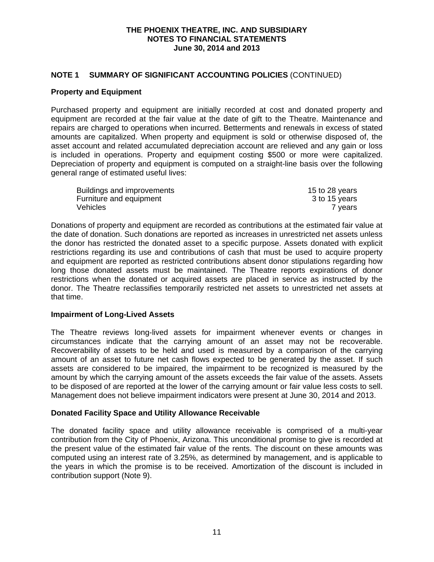### **NOTE 1 SUMMARY OF SIGNIFICANT ACCOUNTING POLICIES** (CONTINUED)

### **Property and Equipment**

Purchased property and equipment are initially recorded at cost and donated property and equipment are recorded at the fair value at the date of gift to the Theatre. Maintenance and repairs are charged to operations when incurred. Betterments and renewals in excess of stated amounts are capitalized. When property and equipment is sold or otherwise disposed of, the asset account and related accumulated depreciation account are relieved and any gain or loss is included in operations. Property and equipment costing \$500 or more were capitalized. Depreciation of property and equipment is computed on a straight-line basis over the following general range of estimated useful lives:

| Buildings and improvements | 15 to 28 years |
|----------------------------|----------------|
| Furniture and equipment    | 3 to 15 years  |
| Vehicles                   | 7 vears        |

Donations of property and equipment are recorded as contributions at the estimated fair value at the date of donation. Such donations are reported as increases in unrestricted net assets unless the donor has restricted the donated asset to a specific purpose. Assets donated with explicit restrictions regarding its use and contributions of cash that must be used to acquire property and equipment are reported as restricted contributions absent donor stipulations regarding how long those donated assets must be maintained. The Theatre reports expirations of donor restrictions when the donated or acquired assets are placed in service as instructed by the donor. The Theatre reclassifies temporarily restricted net assets to unrestricted net assets at that time.

#### **Impairment of Long-Lived Assets**

The Theatre reviews long-lived assets for impairment whenever events or changes in circumstances indicate that the carrying amount of an asset may not be recoverable. Recoverability of assets to be held and used is measured by a comparison of the carrying amount of an asset to future net cash flows expected to be generated by the asset. If such assets are considered to be impaired, the impairment to be recognized is measured by the amount by which the carrying amount of the assets exceeds the fair value of the assets. Assets to be disposed of are reported at the lower of the carrying amount or fair value less costs to sell. Management does not believe impairment indicators were present at June 30, 2014 and 2013.

# **Donated Facility Space and Utility Allowance Receivable**

The donated facility space and utility allowance receivable is comprised of a multi-year contribution from the City of Phoenix, Arizona. This unconditional promise to give is recorded at the present value of the estimated fair value of the rents. The discount on these amounts was computed using an interest rate of 3.25%, as determined by management, and is applicable to the years in which the promise is to be received. Amortization of the discount is included in contribution support (Note 9).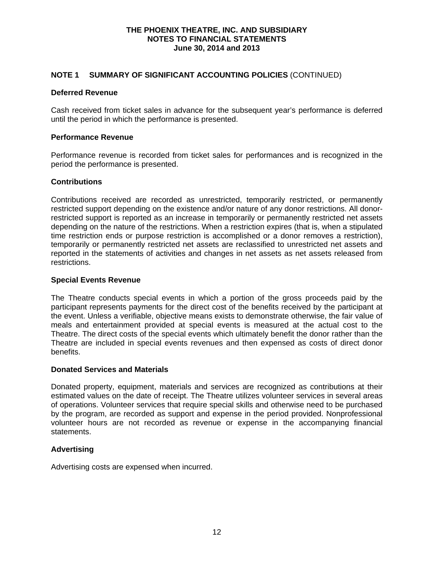### **NOTE 1 SUMMARY OF SIGNIFICANT ACCOUNTING POLICIES** (CONTINUED)

#### **Deferred Revenue**

Cash received from ticket sales in advance for the subsequent year's performance is deferred until the period in which the performance is presented.

#### **Performance Revenue**

Performance revenue is recorded from ticket sales for performances and is recognized in the period the performance is presented.

#### **Contributions**

Contributions received are recorded as unrestricted, temporarily restricted, or permanently restricted support depending on the existence and/or nature of any donor restrictions. All donorrestricted support is reported as an increase in temporarily or permanently restricted net assets depending on the nature of the restrictions. When a restriction expires (that is, when a stipulated time restriction ends or purpose restriction is accomplished or a donor removes a restriction), temporarily or permanently restricted net assets are reclassified to unrestricted net assets and reported in the statements of activities and changes in net assets as net assets released from restrictions.

#### **Special Events Revenue**

The Theatre conducts special events in which a portion of the gross proceeds paid by the participant represents payments for the direct cost of the benefits received by the participant at the event. Unless a verifiable, objective means exists to demonstrate otherwise, the fair value of meals and entertainment provided at special events is measured at the actual cost to the Theatre. The direct costs of the special events which ultimately benefit the donor rather than the Theatre are included in special events revenues and then expensed as costs of direct donor benefits.

#### **Donated Services and Materials**

Donated property, equipment, materials and services are recognized as contributions at their estimated values on the date of receipt. The Theatre utilizes volunteer services in several areas of operations. Volunteer services that require special skills and otherwise need to be purchased by the program, are recorded as support and expense in the period provided. Nonprofessional volunteer hours are not recorded as revenue or expense in the accompanying financial statements.

#### **Advertising**

Advertising costs are expensed when incurred.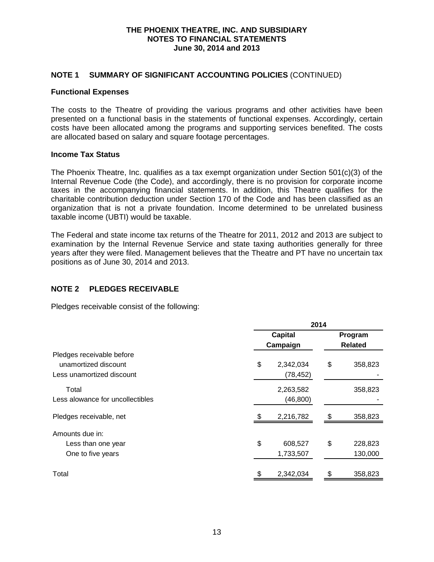### **NOTE 1 SUMMARY OF SIGNIFICANT ACCOUNTING POLICIES** (CONTINUED)

#### **Functional Expenses**

The costs to the Theatre of providing the various programs and other activities have been presented on a functional basis in the statements of functional expenses. Accordingly, certain costs have been allocated among the programs and supporting services benefited. The costs are allocated based on salary and square footage percentages.

#### **Income Tax Status**

The Phoenix Theatre, Inc. qualifies as a tax exempt organization under Section 501(c)(3) of the Internal Revenue Code (the Code), and accordingly, there is no provision for corporate income taxes in the accompanying financial statements. In addition, this Theatre qualifies for the charitable contribution deduction under Section 170 of the Code and has been classified as an organization that is not a private foundation. Income determined to be unrelated business taxable income (UBTI) would be taxable.

The Federal and state income tax returns of the Theatre for 2011, 2012 and 2013 are subject to examination by the Internal Revenue Service and state taxing authorities generally for three years after they were filed. Management believes that the Theatre and PT have no uncertain tax positions as of June 30, 2014 and 2013.

# **NOTE 2 PLEDGES RECEIVABLE**

Pledges receivable consist of the following:

|                                                                                | 2014     |                           |     |                    |  |
|--------------------------------------------------------------------------------|----------|---------------------------|-----|--------------------|--|
|                                                                                | Campaign | Program<br><b>Related</b> |     |                    |  |
| Pledges receivable before<br>unamortized discount<br>Less unamortized discount | \$       | 2,342,034<br>(78, 452)    | \$  | 358,823            |  |
| Total<br>Less alowance for uncollectibles                                      |          | 2,263,582<br>(46, 800)    |     | 358,823            |  |
| Pledges receivable, net                                                        | \$       | 2,216,782                 | \$. | 358,823            |  |
| Amounts due in:<br>Less than one year<br>One to five years                     | \$       | 608,527<br>1,733,507      | \$  | 228,823<br>130,000 |  |
| Total                                                                          |          | 2,342,034                 |     | 358,823            |  |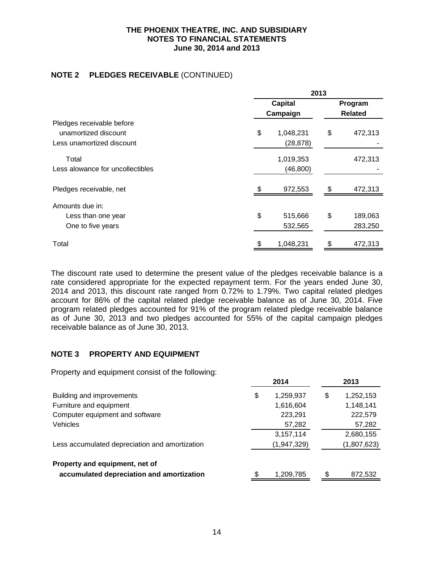# **NOTE 2 PLEDGES RECEIVABLE** (CONTINUED)

|                                  | 2013                       |           |    |                           |  |  |
|----------------------------------|----------------------------|-----------|----|---------------------------|--|--|
|                                  | <b>Capital</b><br>Campaign |           |    | Program<br><b>Related</b> |  |  |
| Pledges receivable before        |                            |           |    |                           |  |  |
| unamortized discount             | \$                         | 1,048,231 | \$ | 472,313                   |  |  |
| Less unamortized discount        |                            | (28, 878) |    |                           |  |  |
| Total                            |                            | 1,019,353 |    | 472,313                   |  |  |
| Less alowance for uncollectibles |                            | (46, 800) |    |                           |  |  |
| Pledges receivable, net          |                            | 972,553   | \$ | 472,313                   |  |  |
| Amounts due in:                  |                            |           |    |                           |  |  |
| Less than one year               | \$                         | 515,666   | \$ | 189,063                   |  |  |
| One to five years                |                            | 532,565   |    | 283,250                   |  |  |
| Total                            | \$                         | 1,048,231 | \$ | 472,313                   |  |  |

The discount rate used to determine the present value of the pledges receivable balance is a rate considered appropriate for the expected repayment term. For the years ended June 30, 2014 and 2013, this discount rate ranged from 0.72% to 1.79%. Two capital related pledges account for 86% of the capital related pledge receivable balance as of June 30, 2014. Five program related pledges accounted for 91% of the program related pledge receivable balance as of June 30, 2013 and two pledges accounted for 55% of the capital campaign pledges receivable balance as of June 30, 2013.

# **NOTE 3 PROPERTY AND EQUIPMENT**

Property and equipment consist of the following:

|                                                | 2014            | 2013            |
|------------------------------------------------|-----------------|-----------------|
| Building and improvements                      | \$<br>1,259,937 | \$<br>1,252,153 |
| Furniture and equipment                        | 1,616,604       | 1,148,141       |
| Computer equipment and software                | 223,291         | 222,579         |
| Vehicles                                       | 57,282          | 57,282          |
|                                                | 3,157,114       | 2,680,155       |
| Less accumulated depreciation and amortization | (1,947,329)     | (1,807,623)     |
| Property and equipment, net of                 |                 |                 |
| accumulated depreciation and amortization      | \$<br>1,209,785 | \$<br>872,532   |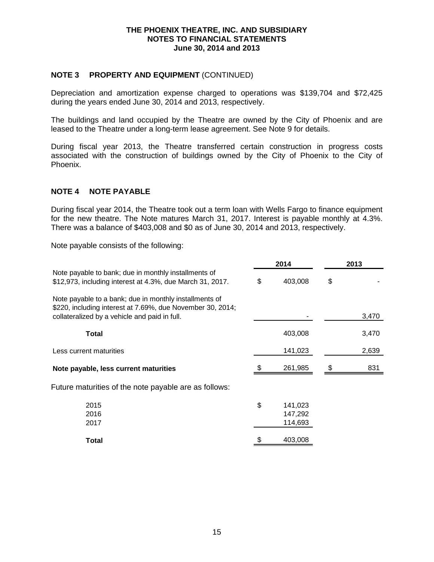## **NOTE 3 PROPERTY AND EQUIPMENT** (CONTINUED)

Depreciation and amortization expense charged to operations was \$139,704 and \$72,425 during the years ended June 30, 2014 and 2013, respectively.

The buildings and land occupied by the Theatre are owned by the City of Phoenix and are leased to the Theatre under a long-term lease agreement. See Note 9 for details.

During fiscal year 2013, the Theatre transferred certain construction in progress costs associated with the construction of buildings owned by the City of Phoenix to the City of Phoenix.

# **NOTE 4 NOTE PAYABLE**

During fiscal year 2014, the Theatre took out a term loan with Wells Fargo to finance equipment for the new theatre. The Note matures March 31, 2017. Interest is payable monthly at 4.3%. There was a balance of \$403,008 and \$0 as of June 30, 2014 and 2013, respectively.

Note payable consists of the following:

|                                                                                                                      | 2014          | 2013  |
|----------------------------------------------------------------------------------------------------------------------|---------------|-------|
| Note payable to bank; due in monthly installments of<br>\$12,973, including interest at 4.3%, due March 31, 2017.    | \$<br>403,008 | \$    |
| Note payable to a bank; due in monthly installments of<br>\$220, including interest at 7.69%, due November 30, 2014; |               |       |
| collateralized by a vehicle and paid in full.                                                                        |               | 3,470 |
| Total                                                                                                                | 403,008       | 3,470 |
| Less current maturities                                                                                              | 141,023       | 2,639 |
| Note payable, less current maturities                                                                                | 261,985       | 831   |
| Future maturities of the note payable are as follows:                                                                |               |       |
| 2015                                                                                                                 | \$<br>141,023 |       |
| 2016                                                                                                                 | 147,292       |       |
| 2017                                                                                                                 | 114,693       |       |
| Total                                                                                                                | \$<br>403,008 |       |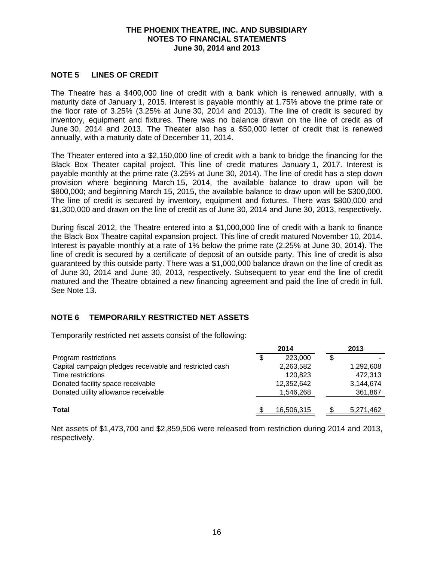### **NOTE 5 LINES OF CREDIT**

The Theatre has a \$400,000 line of credit with a bank which is renewed annually, with a maturity date of January 1, 2015. Interest is payable monthly at 1.75% above the prime rate or the floor rate of 3.25% (3.25% at June 30, 2014 and 2013). The line of credit is secured by inventory, equipment and fixtures. There was no balance drawn on the line of credit as of June 30, 2014 and 2013. The Theater also has a \$50,000 letter of credit that is renewed annually, with a maturity date of December 11, 2014.

The Theater entered into a \$2,150,000 line of credit with a bank to bridge the financing for the Black Box Theater capital project. This line of credit matures January 1, 2017. Interest is payable monthly at the prime rate (3.25% at June 30, 2014). The line of credit has a step down provision where beginning March 15, 2014, the available balance to draw upon will be \$800,000; and beginning March 15, 2015, the available balance to draw upon will be \$300,000. The line of credit is secured by inventory, equipment and fixtures. There was \$800,000 and \$1,300,000 and drawn on the line of credit as of June 30, 2014 and June 30, 2013, respectively.

During fiscal 2012, the Theatre entered into a \$1,000,000 line of credit with a bank to finance the Black Box Theatre capital expansion project. This line of credit matured November 10, 2014. Interest is payable monthly at a rate of 1% below the prime rate (2.25% at June 30, 2014). The line of credit is secured by a certificate of deposit of an outside party. This line of credit is also guaranteed by this outside party. There was a \$1,000,000 balance drawn on the line of credit as of June 30, 2014 and June 30, 2013, respectively. Subsequent to year end the line of credit matured and the Theatre obtained a new financing agreement and paid the line of credit in full. See Note 13.

# **NOTE 6 TEMPORARILY RESTRICTED NET ASSETS**

Temporarily restricted net assets consist of the following:

|                                                         |   | 2014       | 2013      |
|---------------------------------------------------------|---|------------|-----------|
| Program restrictions                                    | S | 223,000    | \$        |
| Capital campaign pledges receivable and restricted cash |   | 2,263,582  | 1,292,608 |
| Time restrictions                                       |   | 120.823    | 472,313   |
| Donated facility space receivable                       |   | 12,352,642 | 3,144,674 |
| Donated utility allowance receivable                    |   | 1,546,268  | 361,867   |
| <b>Total</b>                                            |   | 16,506,315 | 5,271,462 |

Net assets of \$1,473,700 and \$2,859,506 were released from restriction during 2014 and 2013, respectively.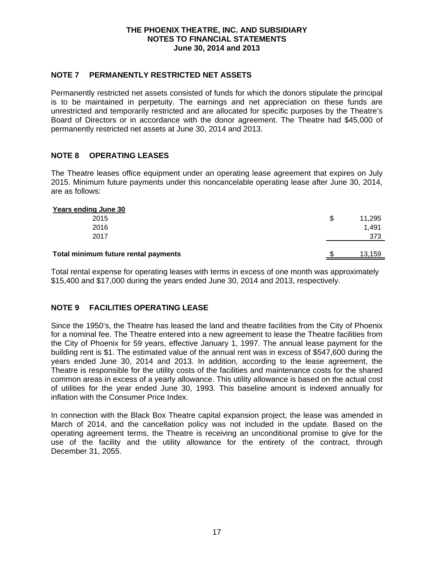### **NOTE 7 PERMANENTLY RESTRICTED NET ASSETS**

Permanently restricted net assets consisted of funds for which the donors stipulate the principal is to be maintained in perpetuity. The earnings and net appreciation on these funds are unrestricted and temporarily restricted and are allocated for specific purposes by the Theatre's Board of Directors or in accordance with the donor agreement. The Theatre had \$45,000 of permanently restricted net assets at June 30, 2014 and 2013.

# **NOTE 8 OPERATING LEASES**

The Theatre leases office equipment under an operating lease agreement that expires on July 2015. Minimum future payments under this noncancelable operating lease after June 30, 2014, are as follows:

| <b>Years ending June 30</b>          |     |        |
|--------------------------------------|-----|--------|
| 2015                                 | \$. | 11,295 |
| 2016                                 |     | 1.491  |
| 2017                                 |     | 373    |
|                                      |     |        |
| Total minimum future rental payments |     | 13,159 |

Total rental expense for operating leases with terms in excess of one month was approximately \$15,400 and \$17,000 during the years ended June 30, 2014 and 2013, respectively.

# **NOTE 9 FACILITIES OPERATING LEASE**

Since the 1950's, the Theatre has leased the land and theatre facilities from the City of Phoenix for a nominal fee. The Theatre entered into a new agreement to lease the Theatre facilities from the City of Phoenix for 59 years, effective January 1, 1997. The annual lease payment for the building rent is \$1. The estimated value of the annual rent was in excess of \$547,600 during the years ended June 30, 2014 and 2013. In addition, according to the lease agreement, the Theatre is responsible for the utility costs of the facilities and maintenance costs for the shared common areas in excess of a yearly allowance. This utility allowance is based on the actual cost of utilities for the year ended June 30, 1993. This baseline amount is indexed annually for inflation with the Consumer Price Index.

In connection with the Black Box Theatre capital expansion project, the lease was amended in March of 2014, and the cancellation policy was not included in the update. Based on the operating agreement terms, the Theatre is receiving an unconditional promise to give for the use of the facility and the utility allowance for the entirety of the contract, through December 31, 2055.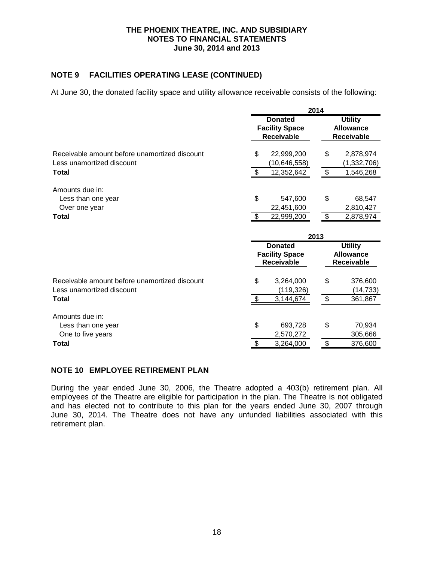# **NOTE 9 FACILITIES OPERATING LEASE (CONTINUED)**

At June 30, the donated facility space and utility allowance receivable consists of the following:

|                                               | 2014                         |                                      |  |  |
|-----------------------------------------------|------------------------------|--------------------------------------|--|--|
|                                               | <b>Donated</b>               | <b>Utility</b><br><b>Allowance</b>   |  |  |
|                                               | <b>Facility Space</b>        |                                      |  |  |
|                                               | <b>Receivable</b>            | <b>Receivable</b>                    |  |  |
| Receivable amount before unamortized discount | \$<br>22,999,200             | \$<br>2,878,974                      |  |  |
| Less unamortized discount                     | (10, 646, 558)               | (1,332,706)                          |  |  |
| Total                                         | \$<br>12,352,642             | $\sqrt[6]{\frac{1}{2}}$<br>1,546,268 |  |  |
| Amounts due in:                               |                              |                                      |  |  |
| Less than one year                            | \$<br>547,600                | \$<br>68,547                         |  |  |
| Over one year                                 | 22,451,600                   | 2,810,427                            |  |  |
| Total                                         | \$<br>22,999,200             | \$<br>2,878,974                      |  |  |
|                                               | 2013                         |                                      |  |  |
|                                               |                              |                                      |  |  |
|                                               | <b>Donated</b>               | <b>Utility</b>                       |  |  |
|                                               | <b>Facility Space</b>        | <b>Allowance</b>                     |  |  |
|                                               | <b>Receivable</b>            | <b>Receivable</b>                    |  |  |
| Receivable amount before unamortized discount | \$                           |                                      |  |  |
| Less unamortized discount                     | 3,264,000                    | \$<br>376,600                        |  |  |
| Total                                         | (119,326)<br>\$<br>3,144,674 | (14, 733)<br>\$<br>361,867           |  |  |
| Amounts due in:                               |                              |                                      |  |  |
|                                               | \$<br>693,728                | \$                                   |  |  |
| Less than one year<br>One to five years       | 2,570,272                    | 70,934<br>305,666                    |  |  |

## **NOTE 10 EMPLOYEE RETIREMENT PLAN**

During the year ended June 30, 2006, the Theatre adopted a 403(b) retirement plan. All employees of the Theatre are eligible for participation in the plan. The Theatre is not obligated and has elected not to contribute to this plan for the years ended June 30, 2007 through June 30, 2014. The Theatre does not have any unfunded liabilities associated with this retirement plan.